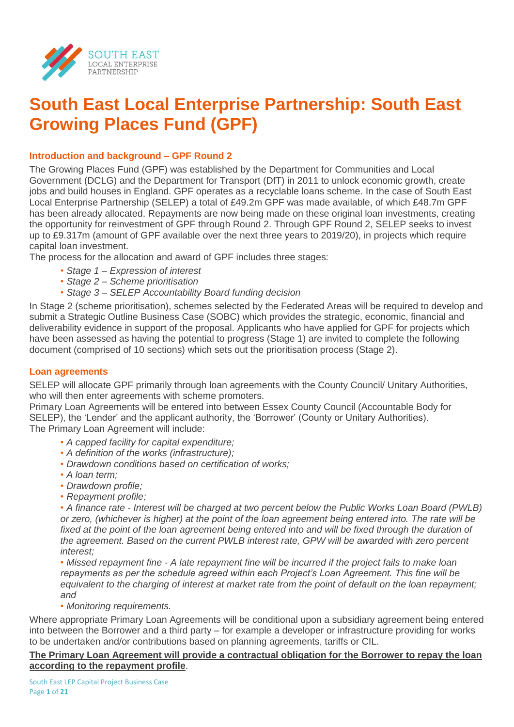

# **South East Local Enterprise Partnership: South East Growing Places Fund (GPF)**

# **Introduction and background – GPF Round 2**

The Growing Places Fund (GPF) was established by the Department for Communities and Local Government (DCLG) and the Department for Transport (DfT) in 2011 to unlock economic growth, create jobs and build houses in England. GPF operates as a recyclable loans scheme. In the case of South East Local Enterprise Partnership (SELEP) a total of £49.2m GPF was made available, of which £48.7m GPF has been already allocated. Repayments are now being made on these original loan investments, creating the opportunity for reinvestment of GPF through Round 2. Through GPF Round 2, SELEP seeks to invest up to £9.317m (amount of GPF available over the next three years to 2019/20), in projects which require capital loan investment.

The process for the allocation and award of GPF includes three stages:

- *Stage 1 – Expression of interest*
- *• Stage 2 – Scheme prioritisation*
- *• Stage 3 – SELEP Accountability Board funding decision*

In Stage 2 (scheme prioritisation), schemes selected by the Federated Areas will be required to develop and submit a Strategic Outline Business Case (SOBC) which provides the strategic, economic, financial and deliverability evidence in support of the proposal. Applicants who have applied for GPF for projects which have been assessed as having the potential to progress (Stage 1) are invited to complete the following document (comprised of 10 sections) which sets out the prioritisation process (Stage 2).

# **Loan agreements**

SELEP will allocate GPF primarily through loan agreements with the County Council/ Unitary Authorities, who will then enter agreements with scheme promoters.

Primary Loan Agreements will be entered into between Essex County Council (Accountable Body for SELEP), the 'Lender' and the applicant authority, the 'Borrower' (County or Unitary Authorities). The Primary Loan Agreement will include:

- *• A capped facility for capital expenditure;*
- *• A definition of the works (infrastructure);*
- *• Drawdown conditions based on certification of works;*
- *• A loan term;*
- *• Drawdown profile;*
- *• Repayment profile;*

*• A finance rate - Interest will be charged at two percent below the Public Works Loan Board (PWLB) or zero, (whichever is higher) at the point of the loan agreement being entered into. The rate will be*  fixed at the point of the loan agreement being entered into and will be fixed through the duration of *the agreement. Based on the current PWLB interest rate, GPW will be awarded with zero percent interest;*

*• Missed repayment fine - A late repayment fine will be incurred if the project fails to make loan repayments as per the schedule agreed within each Project's Loan Agreement. This fine will be equivalent to the charging of interest at market rate from the point of default on the loan repayment; and*

*• Monitoring requirements.*

Where appropriate Primary Loan Agreements will be conditional upon a subsidiary agreement being entered into between the Borrower and a third party – for example a developer or infrastructure providing for works to be undertaken and/or contributions based on planning agreements, tariffs or CIL.

# **The Primary Loan Agreement will provide a contractual obligation for the Borrower to repay the loan according to the repayment profile**.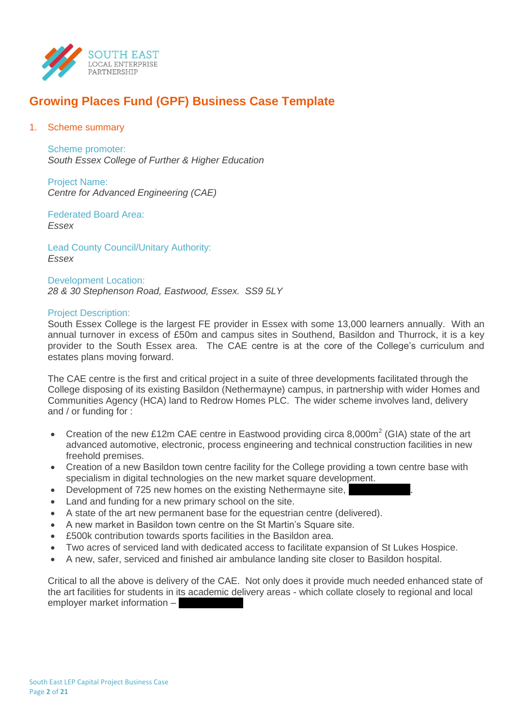

# **Growing Places Fund (GPF) Business Case Template**

#### 1. Scheme summary

Scheme promoter: *South Essex College of Further & Higher Education*

Project Name: *Centre for Advanced Engineering (CAE)*

Federated Board Area: *Essex*

Lead County Council/Unitary Authority: *Essex*

Development Location: *28 & 30 Stephenson Road, Eastwood, Essex. SS9 5LY* 

#### Project Description:

South Essex College is the largest FE provider in Essex with some 13,000 learners annually. With an annual turnover in excess of £50m and campus sites in Southend, Basildon and Thurrock, it is a key provider to the South Essex area. The CAE centre is at the core of the College's curriculum and estates plans moving forward.

The CAE centre is the first and critical project in a suite of three developments facilitated through the College disposing of its existing Basildon (Nethermayne) campus, in partnership with wider Homes and Communities Agency (HCA) land to Redrow Homes PLC. The wider scheme involves land, delivery and / or funding for :

- Creation of the new £12m CAE centre in Eastwood providing circa 8,000m<sup>2</sup> (GIA) state of the art advanced automotive, electronic, process engineering and technical construction facilities in new freehold premises.
- Creation of a new Basildon town centre facility for the College providing a town centre base with specialism in digital technologies on the new market square development.
- Development of 725 new homes on the existing Nethermayne site,
- Land and funding for a new primary school on the site.
- A state of the art new permanent base for the equestrian centre (delivered).
- A new market in Basildon town centre on the St Martin's Square site.
- £500k contribution towards sports facilities in the Basildon area.
- Two acres of serviced land with dedicated access to facilitate expansion of St Lukes Hospice.
- A new, safer, serviced and finished air ambulance landing site closer to Basildon hospital.

Critical to all the above is delivery of the CAE. Not only does it provide much needed enhanced state of the art facilities for students in its academic delivery areas - which collate closely to regional and local  $emplover$  market information  $-$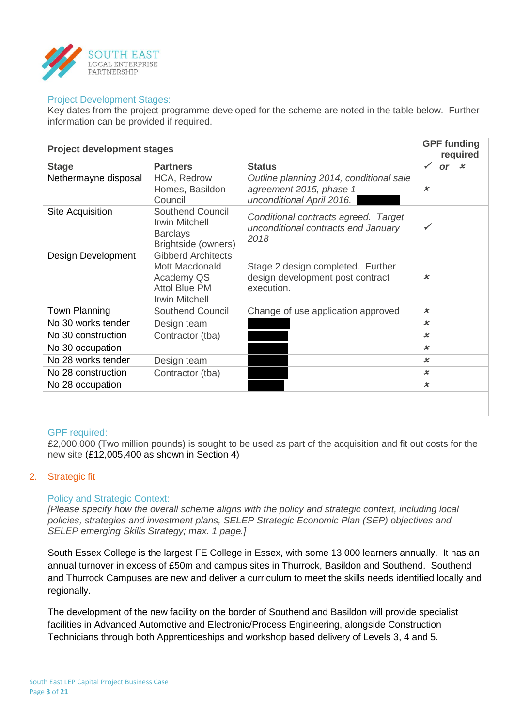

#### Project Development Stages:

Key dates from the project programme developed for the scheme are noted in the table below. Further information can be provided if required.

| <b>Project development stages</b> | <b>GPF funding</b><br>required                                                                                    |                                                                                                 |                                                  |
|-----------------------------------|-------------------------------------------------------------------------------------------------------------------|-------------------------------------------------------------------------------------------------|--------------------------------------------------|
| <b>Stage</b>                      | <b>Partners</b>                                                                                                   | <b>Status</b>                                                                                   | $\checkmark$<br>or<br>$\boldsymbol{\mathcal{X}}$ |
| Nethermayne disposal              | HCA, Redrow<br>Homes, Basildon<br>Council                                                                         | Outline planning 2014, conditional sale<br>agreement 2015, phase 1<br>unconditional April 2016. | $\boldsymbol{\mathsf{x}}$                        |
| Site Acquisition                  | <b>Southend Council</b><br><b>Irwin Mitchell</b><br><b>Barclays</b><br>Brightside (owners)                        | Conditional contracts agreed. Target<br>unconditional contracts end January<br>2018             | $\checkmark$                                     |
| Design Development                | <b>Gibberd Architects</b><br><b>Mott Macdonald</b><br>Academy QS<br><b>Attol Blue PM</b><br><b>Irwin Mitchell</b> | Stage 2 design completed. Further<br>design development post contract<br>execution.             | $\boldsymbol{\mathsf{x}}$                        |
| Town Planning                     | <b>Southend Council</b>                                                                                           | Change of use application approved                                                              | $\boldsymbol{\mathcal{K}}$                       |
| No 30 works tender                | Design team                                                                                                       |                                                                                                 | $\boldsymbol{\mathsf{x}}$                        |
| No 30 construction                | Contractor (tba)                                                                                                  |                                                                                                 | $\boldsymbol{\mathsf{x}}$                        |
| No 30 occupation                  |                                                                                                                   |                                                                                                 | $\boldsymbol{\mathsf{x}}$                        |
| No 28 works tender                | Design team                                                                                                       |                                                                                                 | $\boldsymbol{\mathcal{K}}$                       |
| No 28 construction                | Contractor (tba)                                                                                                  |                                                                                                 | $\boldsymbol{\mathcal{X}}$                       |
| No 28 occupation                  |                                                                                                                   |                                                                                                 | $\boldsymbol{\mathsf{x}}$                        |
|                                   |                                                                                                                   |                                                                                                 |                                                  |
|                                   |                                                                                                                   |                                                                                                 |                                                  |

# GPF required:

£2,000,000 (Two million pounds) is sought to be used as part of the acquisition and fit out costs for the new site (£12,005,400 as shown in Section 4)

# 2. Strategic fit

#### Policy and Strategic Context:

*[Please specify how the overall scheme aligns with the policy and strategic context, including local policies, strategies and investment plans, SELEP Strategic Economic Plan (SEP) objectives and SELEP emerging Skills Strategy; max. 1 page.]*

South Essex College is the largest FE College in Essex, with some 13,000 learners annually. It has an annual turnover in excess of £50m and campus sites in Thurrock, Basildon and Southend. Southend and Thurrock Campuses are new and deliver a curriculum to meet the skills needs identified locally and regionally.

The development of the new facility on the border of Southend and Basildon will provide specialist facilities in Advanced Automotive and Electronic/Process Engineering, alongside Construction Technicians through both Apprenticeships and workshop based delivery of Levels 3, 4 and 5.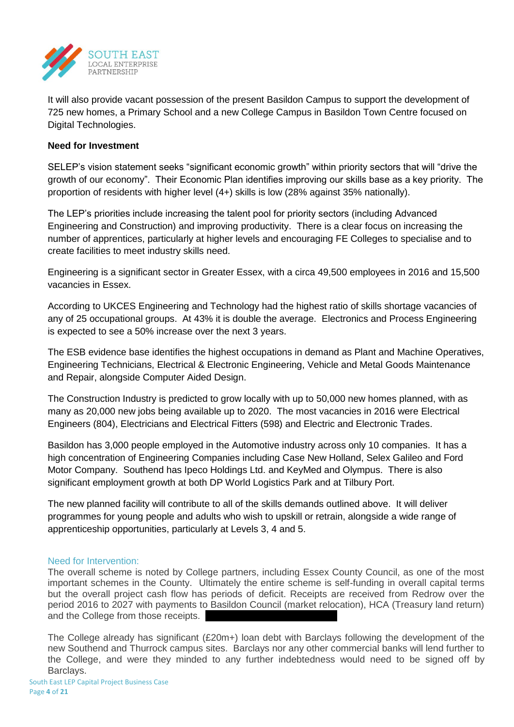

It will also provide vacant possession of the present Basildon Campus to support the development of 725 new homes, a Primary School and a new College Campus in Basildon Town Centre focused on Digital Technologies.

# **Need for Investment**

SELEP's vision statement seeks "significant economic growth" within priority sectors that will "drive the growth of our economy". Their Economic Plan identifies improving our skills base as a key priority. The proportion of residents with higher level (4+) skills is low (28% against 35% nationally).

The LEP's priorities include increasing the talent pool for priority sectors (including Advanced Engineering and Construction) and improving productivity. There is a clear focus on increasing the number of apprentices, particularly at higher levels and encouraging FE Colleges to specialise and to create facilities to meet industry skills need.

Engineering is a significant sector in Greater Essex, with a circa 49,500 employees in 2016 and 15,500 vacancies in Essex.

According to UKCES Engineering and Technology had the highest ratio of skills shortage vacancies of any of 25 occupational groups. At 43% it is double the average. Electronics and Process Engineering is expected to see a 50% increase over the next 3 years.

The ESB evidence base identifies the highest occupations in demand as Plant and Machine Operatives, Engineering Technicians, Electrical & Electronic Engineering, Vehicle and Metal Goods Maintenance and Repair, alongside Computer Aided Design.

The Construction Industry is predicted to grow locally with up to 50,000 new homes planned, with as many as 20,000 new jobs being available up to 2020. The most vacancies in 2016 were Electrical Engineers (804), Electricians and Electrical Fitters (598) and Electric and Electronic Trades.

Basildon has 3,000 people employed in the Automotive industry across only 10 companies. It has a high concentration of Engineering Companies including Case New Holland, Selex Galileo and Ford Motor Company. Southend has Ipeco Holdings Ltd. and KeyMed and Olympus. There is also significant employment growth at both DP World Logistics Park and at Tilbury Port.

The new planned facility will contribute to all of the skills demands outlined above. It will deliver programmes for young people and adults who wish to upskill or retrain, alongside a wide range of apprenticeship opportunities, particularly at Levels 3, 4 and 5.

# Need for Intervention:

The overall scheme is noted by College partners, including Essex County Council, as one of the most important schemes in the County. Ultimately the entire scheme is self-funding in overall capital terms but the overall project cash flow has periods of deficit. Receipts are received from Redrow over the period 2016 to 2027 with payments to Basildon Council (market relocation), HCA (Treasury land return) and the College from those receipts.

The College already has significant (£20m+) loan debt with Barclays following the development of the new Southend and Thurrock campus sites. Barclays nor any other commercial banks will lend further to the College, and were they minded to any further indebtedness would need to be signed off by Barclays.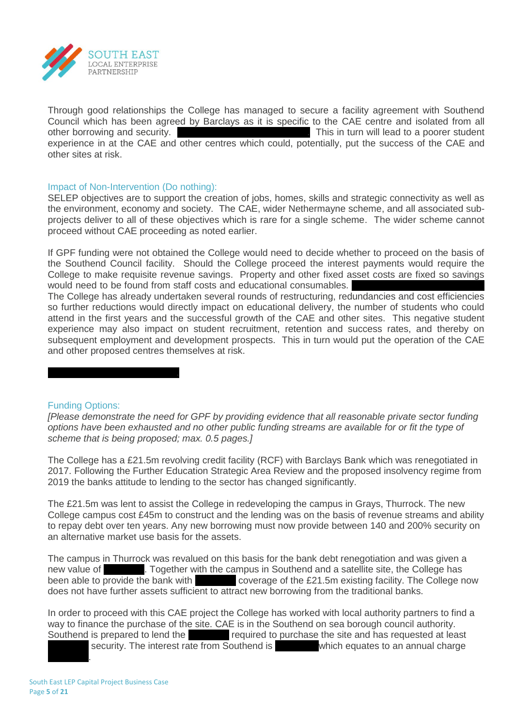

Through good relationships the College has managed to secure a facility agreement with Southend Council which has been agreed by Barclays as it is specific to the CAE centre and isolated from all other borrowing and security. Information has been reduced. This in turn will lead to a poorer student experience in at the CAE and other centres which could, potentially, put the success of the CAE and other sites at risk.

## Impact of Non-Intervention (Do nothing):

SELEP objectives are to support the creation of jobs, homes, skills and strategic connectivity as well as the environment, economy and society. The CAE, wider Nethermayne scheme, and all associated subprojects deliver to all of these objectives which is rare for a single scheme. The wider scheme cannot proceed without CAE proceeding as noted earlier.

If GPF funding were not obtained the College would need to decide whether to proceed on the basis of the Southend Council facility. Should the College proceed the interest payments would require the College to make requisite revenue savings. Property and other fixed asset costs are fixed so savings would need to be found from staff costs and educational consumables.

The College has already undertaken several rounds of restructuring, redundancies and cost efficiencies so further reductions would directly impact on educational delivery, the number of students who could attend in the first years and the successful growth of the CAE and other sites. This negative student experience may also impact on student recruitment, retention and success rates, and thereby on subsequent employment and development prospects. This in turn would put the operation of the CAE and other proposed centres themselves at risk.

#### Funding Options:

*[Please demonstrate the need for GPF by providing evidence that all reasonable private sector funding options have been exhausted and no other public funding streams are available for or fit the type of scheme that is being proposed; max. 0.5 pages.]*

The College has a £21.5m revolving credit facility (RCF) with Barclays Bank which was renegotiated in 2017. Following the Further Education Strategic Area Review and the proposed insolvency regime from 2019 the banks attitude to lending to the sector has changed significantly.

The £21.5m was lent to assist the College in redeveloping the campus in Grays, Thurrock. The new College campus cost £45m to construct and the lending was on the basis of revenue streams and ability to repay debt over ten years. Any new borrowing must now provide between 140 and 200% security on an alternative market use basis for the assets.

The campus in Thurrock was revalued on this basis for the bank debt renegotiation and was given a new value of **Redact Act Act Act Act Act Act Act** he College has campus in Southend and a satellite site, the College has been able to provide the bank with **Redacted coverage of the £21.5m existing facility.** The College now does not have further assets sufficient to attract new borrowing from the traditional banks.

In order to proceed with this CAE project the College has worked with local authority partners to find a way to finance the purchase of the site. CAE is in the Southend on sea borough council authority. Southend is prepared to lend the required to purchase the site and has requested at least security. The interest rate from Southend is **Redacted which equates to an annual charge** 

Redacted.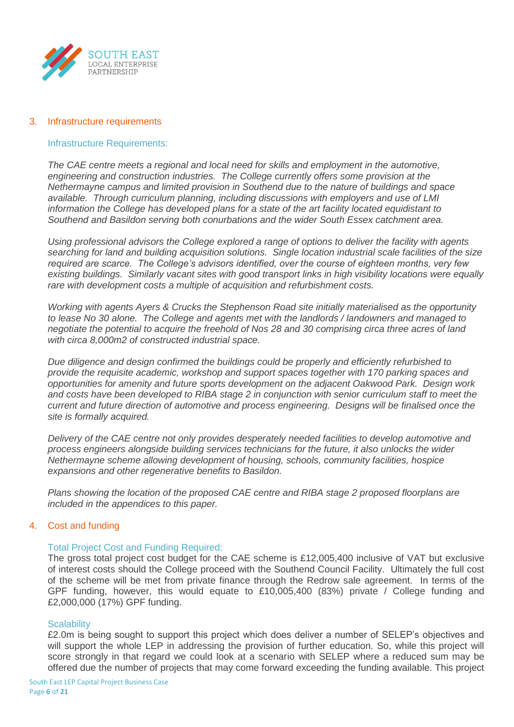

#### 3. Infrastructure requirements

#### Infrastructure Requirements:

*The CAE centre meets a regional and local need for skills and employment in the automotive, engineering and construction industries. The College currently offers some provision at the Nethermayne campus and limited provision in Southend due to the nature of buildings and space available. Through curriculum planning, including discussions with employers and use of LMI information the College has developed plans for a state of the art facility located equidistant to Southend and Basildon serving both conurbations and the wider South Essex catchment area.*

*Using professional advisors the College explored a range of options to deliver the facility with agents searching for land and building acquisition solutions. Single location industrial scale facilities of the size required are scarce. The College's advisors identified, over the course of eighteen months, very few existing buildings. Similarly vacant sites with good transport links in high visibility locations were equally rare with development costs a multiple of acquisition and refurbishment costs.*

*Working with agents Ayers & Crucks the Stephenson Road site initially materialised as the opportunity to lease No 30 alone. The College and agents met with the landlords / landowners and managed to negotiate the potential to acquire the freehold of Nos 28 and 30 comprising circa three acres of land with circa 8,000m2 of constructed industrial space.*

*Due diligence and design confirmed the buildings could be properly and efficiently refurbished to provide the requisite academic, workshop and support spaces together with 170 parking spaces and opportunities for amenity and future sports development on the adjacent Oakwood Park. Design work and costs have been developed to RIBA stage 2 in conjunction with senior curriculum staff to meet the current and future direction of automotive and process engineering. Designs will be finalised once the site is formally acquired.*

*Delivery of the CAE centre not only provides desperately needed facilities to develop automotive and process engineers alongside building services technicians for the future, it also unlocks the wider Nethermayne scheme allowing development of housing, schools, community facilities, hospice expansions and other regenerative benefits to Basildon.*

*Plans showing the location of the proposed CAE centre and RIBA stage 2 proposed floorplans are included in the appendices to this paper.*

#### 4. Cost and funding

#### Total Project Cost and Funding Required:

The gross total project cost budget for the CAE scheme is £12,005,400 inclusive of VAT but exclusive of interest costs should the College proceed with the Southend Council Facility. Ultimately the full cost of the scheme will be met from private finance through the Redrow sale agreement. In terms of the GPF funding, however, this would equate to £10,005,400 (83%) private / College funding and £2,000,000 (17%) GPF funding.

#### **Scalability**

£2.0m is being sought to support this project which does deliver a number of SELEP's objectives and will support the whole LEP in addressing the provision of further education. So, while this project will score strongly in that regard we could look at a scenario with SELEP where a reduced sum may be offered due the number of projects that may come forward exceeding the funding available. This project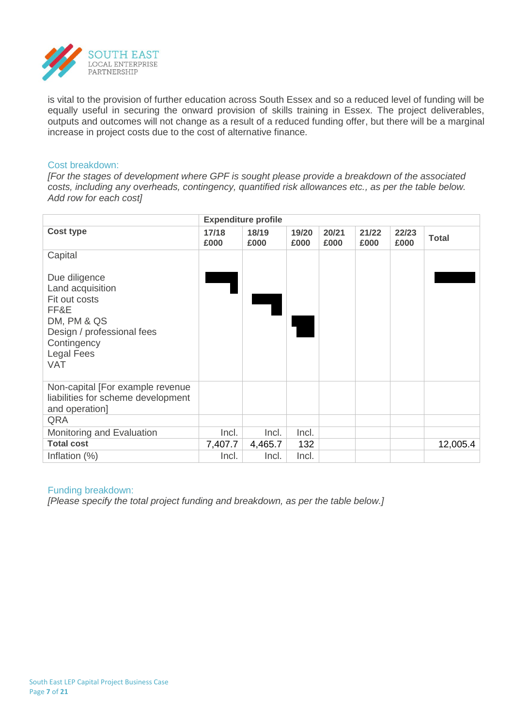

is vital to the provision of further education across South Essex and so a reduced level of funding will be equally useful in securing the onward provision of skills training in Essex. The project deliverables, outputs and outcomes will not change as a result of a reduced funding offer, but there will be a marginal increase in project costs due to the cost of alternative finance.

### Cost breakdown:

*[For the stages of development where GPF is sought please provide a breakdown of the associated costs, including any overheads, contingency, quantified risk allowances etc., as per the table below. Add row for each cost]*

|                                                                                                                                                           | <b>Expenditure profile</b> |               |               |               |               |               |              |  |
|-----------------------------------------------------------------------------------------------------------------------------------------------------------|----------------------------|---------------|---------------|---------------|---------------|---------------|--------------|--|
| <b>Cost type</b>                                                                                                                                          | 17/18<br>£000              | 18/19<br>£000 | 19/20<br>£000 | 20/21<br>£000 | 21/22<br>£000 | 22/23<br>£000 | <b>Total</b> |  |
| Capital                                                                                                                                                   |                            |               |               |               |               |               |              |  |
| Due diligence<br>Land acquisition<br>Fit out costs<br>FF&E<br>DM, PM & QS<br>Design / professional fees<br>Contingency<br><b>Legal Fees</b><br><b>VAT</b> |                            |               |               |               |               |               |              |  |
| Non-capital [For example revenue<br>liabilities for scheme development<br>and operation]                                                                  |                            |               |               |               |               |               |              |  |
| QRA                                                                                                                                                       |                            |               |               |               |               |               |              |  |
| Monitoring and Evaluation                                                                                                                                 | Incl.                      | Incl.         | Incl.         |               |               |               |              |  |
| <b>Total cost</b>                                                                                                                                         | 7,407.7                    | 4,465.7       | 132           |               |               |               | 12,005.4     |  |
| Inflation (%)                                                                                                                                             | Incl.                      | Incl.         | Incl.         |               |               |               |              |  |

# Funding breakdown:

*[Please specify the total project funding and breakdown, as per the table below.]*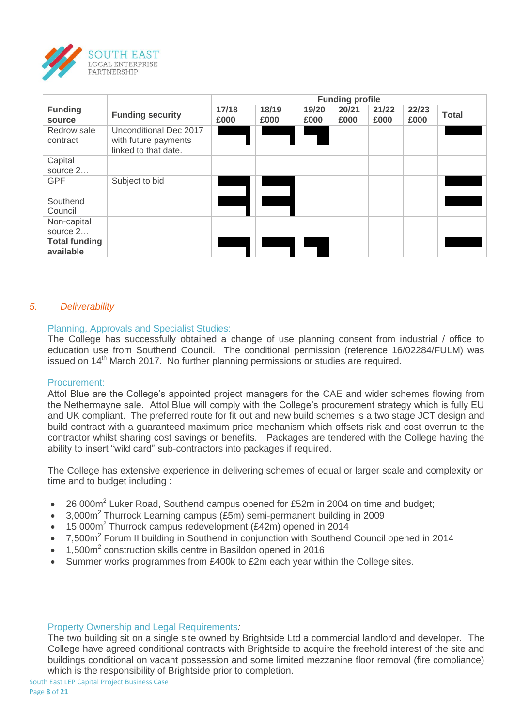

|                                   |                                                                        | <b>Funding profile</b> |               |               |               |               |               |              |
|-----------------------------------|------------------------------------------------------------------------|------------------------|---------------|---------------|---------------|---------------|---------------|--------------|
| <b>Funding</b><br>source          | <b>Funding security</b>                                                | 17/18<br>£000          | 18/19<br>£000 | 19/20<br>£000 | 20/21<br>£000 | 21/22<br>£000 | 22/23<br>£000 | <b>Total</b> |
| Redrow sale<br>contract           | Unconditional Dec 2017<br>with future payments<br>linked to that date. |                        |               |               |               |               |               |              |
| Capital<br>source 2               |                                                                        |                        |               |               |               |               |               |              |
| <b>GPF</b>                        | Subject to bid                                                         |                        |               |               |               |               |               |              |
| Southend<br>Council               |                                                                        |                        |               |               |               |               |               |              |
| Non-capital<br>source 2           |                                                                        |                        |               |               |               |               |               |              |
| <b>Total funding</b><br>available |                                                                        |                        |               |               |               |               |               |              |

# *5. Deliverability*

### Planning, Approvals and Specialist Studies:

The College has successfully obtained a change of use planning consent from industrial / office to education use from Southend Council. The conditional permission (reference 16/02284/FULM) was issued on  $14<sup>th</sup>$  March 2017. No further planning permissions or studies are required.

#### Procurement:

Attol Blue are the College's appointed project managers for the CAE and wider schemes flowing from the Nethermayne sale. Attol Blue will comply with the College's procurement strategy which is fully EU and UK compliant. The preferred route for fit out and new build schemes is a two stage JCT design and build contract with a guaranteed maximum price mechanism which offsets risk and cost overrun to the contractor whilst sharing cost savings or benefits. Packages are tendered with the College having the ability to insert "wild card" sub-contractors into packages if required.

The College has extensive experience in delivering schemes of equal or larger scale and complexity on time and to budget including :

- 26,000m<sup>2</sup> Luker Road, Southend campus opened for £52m in 2004 on time and budget;
- 3,000m<sup>2</sup> Thurrock Learning campus (£5m) semi-permanent building in 2009
- $\bullet$  15,000m<sup>2</sup> Thurrock campus redevelopment (£42m) opened in 2014
- $\bullet$  7,500m<sup>2</sup> Forum II building in Southend in conjunction with Southend Council opened in 2014
- $\bullet$  1,500m<sup>2</sup> construction skills centre in Basildon opened in 2016
- Summer works programmes from £400k to £2m each year within the College sites.

#### Property Ownership and Legal Requirements*:*

The two building sit on a single site owned by Brightside Ltd a commercial landlord and developer. The College have agreed conditional contracts with Brightside to acquire the freehold interest of the site and buildings conditional on vacant possession and some limited mezzanine floor removal (fire compliance) which is the responsibility of Brightside prior to completion.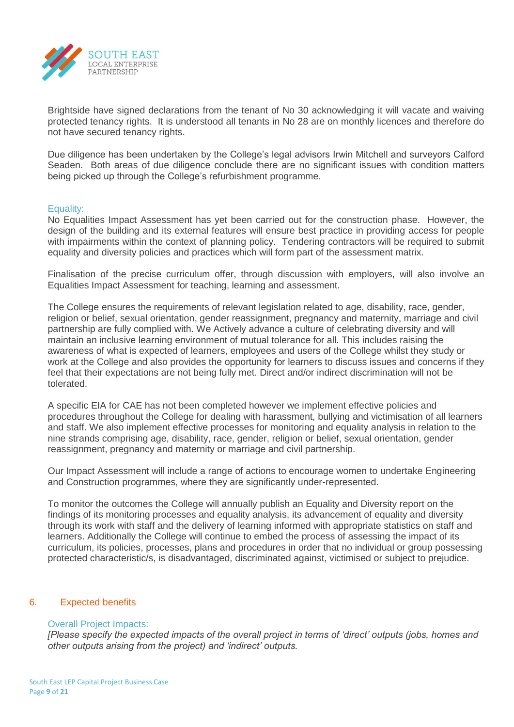

Brightside have signed declarations from the tenant of No 30 acknowledging it will vacate and waiving protected tenancy rights. It is understood all tenants in No 28 are on monthly licences and therefore do not have secured tenancy rights.

Due diligence has been undertaken by the College's legal advisors Irwin Mitchell and surveyors Calford Seaden. Both areas of due diligence conclude there are no significant issues with condition matters being picked up through the College's refurbishment programme.

#### Equality:

No Equalities Impact Assessment has yet been carried out for the construction phase. However, the design of the building and its external features will ensure best practice in providing access for people with impairments within the context of planning policy. Tendering contractors will be required to submit equality and diversity policies and practices which will form part of the assessment matrix.

Finalisation of the precise curriculum offer, through discussion with employers, will also involve an Equalities Impact Assessment for teaching, learning and assessment.

The College ensures the requirements of relevant legislation related to age, disability, race, gender, religion or belief, sexual orientation, gender reassignment, pregnancy and maternity, marriage and civil partnership are fully complied with. We Actively advance a culture of celebrating diversity and will maintain an inclusive learning environment of mutual tolerance for all. This includes raising the awareness of what is expected of learners, employees and users of the College whilst they study or work at the College and also provides the opportunity for learners to discuss issues and concerns if they feel that their expectations are not being fully met. Direct and/or indirect discrimination will not be tolerated.

A specific EIA for CAE has not been completed however we implement effective policies and procedures throughout the College for dealing with harassment, bullying and victimisation of all learners and staff. We also implement effective processes for monitoring and equality analysis in relation to the nine strands comprising age, disability, race, gender, religion or belief, sexual orientation, gender reassignment, pregnancy and maternity or marriage and civil partnership.

Our Impact Assessment will include a range of actions to encourage women to undertake Engineering and Construction programmes, where they are significantly under-represented.

To monitor the outcomes the College will annually publish an Equality and Diversity report on the findings of its monitoring processes and equality analysis, its advancement of equality and diversity through its work with staff and the delivery of learning informed with appropriate statistics on staff and learners. Additionally the College will continue to embed the process of assessing the impact of its curriculum, its policies, processes, plans and procedures in order that no individual or group possessing protected characteristic/s, is disadvantaged, discriminated against, victimised or subject to prejudice.

#### 6. Expected benefits

#### Overall Project Impacts:

*[Please specify the expected impacts of the overall project in terms of 'direct' outputs (jobs, homes and other outputs arising from the project) and 'indirect' outputs.*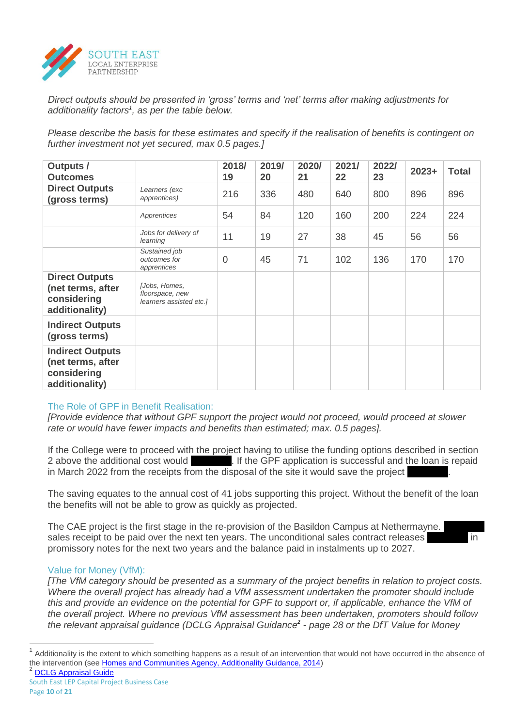

*Direct outputs should be presented in 'gross' terms and 'net' terms after making adjustments for additionality factors<sup>1</sup> , as per the table below.*

*Please describe the basis for these estimates and specify if the realisation of benefits is contingent on further investment not yet secured, max 0.5 pages.]*

| Outputs /<br><b>Outcomes</b>                                                  |                                                             | 2018/<br>19    | 2019/<br>20 | 2020/<br>21 | 2021/<br>22 | 2022/<br>23 | $2023+$ | <b>Total</b> |
|-------------------------------------------------------------------------------|-------------------------------------------------------------|----------------|-------------|-------------|-------------|-------------|---------|--------------|
| <b>Direct Outputs</b><br>(gross terms)                                        | Learners (exc<br>apprentices)                               | 216            | 336         | 480         | 640         | 800         | 896     | 896          |
|                                                                               | Apprentices                                                 | 54             | 84          | 120         | 160         | 200         | 224     | 224          |
|                                                                               | Jobs for delivery of<br>learning                            | 11             | 19          | 27          | 38          | 45          | 56      | 56           |
|                                                                               | Sustained job<br>outcomes for<br>apprentices                | $\overline{0}$ | 45          | 71          | 102         | 136         | 170     | 170          |
| <b>Direct Outputs</b><br>(net terms, after<br>considering<br>additionality)   | JJobs, Homes,<br>floorspace, new<br>learners assisted etc.] |                |             |             |             |             |         |              |
| <b>Indirect Outputs</b><br>(gross terms)                                      |                                                             |                |             |             |             |             |         |              |
| <b>Indirect Outputs</b><br>(net terms, after<br>considering<br>additionality) |                                                             |                |             |             |             |             |         |              |

# The Role of GPF in Benefit Realisation:

*[Provide evidence that without GPF support the project would not proceed, would proceed at slower rate or would have fewer impacts and benefits than estimated; max. 0.5 pages].*

If the College were to proceed with the project having to utilise the funding options described in section 2 above the additional cost would **Redacted Let and Telecacion** is successful and the loan is repaid in March 2022 from the receipts from the disposal of the site it would save the project

The saving equates to the annual cost of 41 jobs supporting this project. Without the benefit of the loan the benefits will not be able to grow as quickly as projected.

The CAE project is the first stage in the re-provision of the Basildon Campus at Nethermayne. sales receipt to be paid over the next ten years. The unconditional sales contract releases in promissory notes for the next two years and the balance paid in instalments up to 2027.

# Value for Money (VfM):

*[The VfM category should be presented as a summary of the project benefits in relation to project costs. Where the overall project has already had a VfM assessment undertaken the promoter should include this and provide an evidence on the potential for GPF to support or, if applicable, enhance the VfM of the overall project. Where no previous VfM assessment has been undertaken, promoters should follow the relevant appraisal guidance (DCLG Appraisal Guidance<sup>2</sup> - page 28 or the DfT Value for Money* 

 $\overline{\phantom{a}}$ 

<sup>1</sup> Additionality is the extent to which something happens as a result of an intervention that would not have occurred in the absence of the intervention (see [Homes and Communities Agency, Additionality Guidance, 2014\)](https://www.gov.uk/government/uploads/system/uploads/attachment_data/file/378177/additionality_guide_2014_full.pdf) 2 [DCLG Appraisal Guide](https://www.gov.uk/government/uploads/system/uploads/attachment_data/file/576427/161129_Appraisal_Guidance.pdf)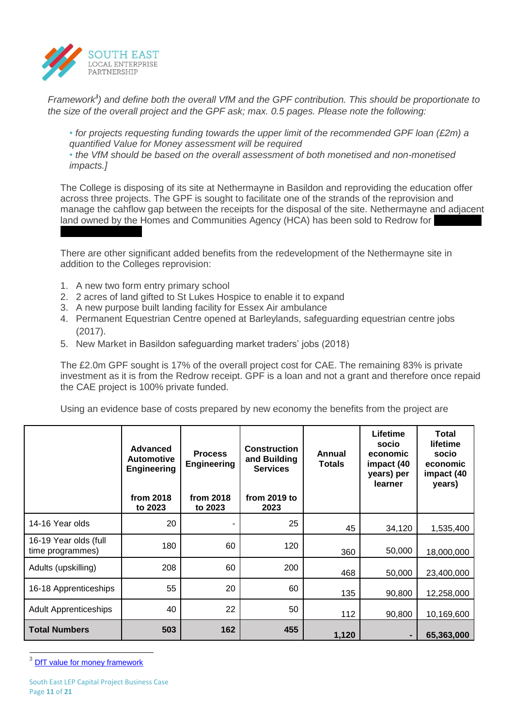

*Framework<sup>3</sup> ) and define both the overall VfM and the GPF contribution. This should be proportionate to the size of the overall project and the GPF ask; max. 0.5 pages. Please note the following:*

*• for projects requesting funding towards the upper limit of the recommended GPF loan (£2m) a quantified Value for Money assessment will be required*

*• the VfM should be based on the overall assessment of both monetised and non-monetised impacts.]*

The College is disposing of its site at Nethermayne in Basildon and reproviding the education offer across three projects. The GPF is sought to facilitate one of the strands of the reprovision and manage the cahflow gap between the receipts for the disposal of the site. Nethermayne and adjacent land owned by the Homes and Communities Agency (HCA) has been sold to Redrow for

There are other significant added benefits from the redevelopment of the Nethermayne site in addition to the Colleges reprovision:

- 1. A new two form entry primary school
- 2. 2 acres of land gifted to St Lukes Hospice to enable it to expand
- 3. A new purpose built landing facility for Essex Air ambulance
- 4. Permanent Equestrian Centre opened at Barleylands, safeguarding equestrian centre jobs (2017).
- 5. New Market in Basildon safeguarding market traders' jobs (2018)

The £2.0m GPF sought is 17% of the overall project cost for CAE. The remaining 83% is private investment as it is from the Redrow receipt. GPF is a loan and not a grant and therefore once repaid the CAE project is 100% private funded.

Using an evidence base of costs prepared by new economy the benefits from the project are

|                                           | <b>Advanced</b><br><b>Automotive</b><br><b>Engineering</b> | <b>Process</b><br><b>Engineering</b> | <b>Construction</b><br>and Building<br><b>Services</b> | Annual<br><b>Totals</b> | Lifetime<br>socio<br>economic<br>impact (40<br>years) per<br>learner | Total<br>lifetime<br>socio<br>economic<br>impact (40<br>years) |
|-------------------------------------------|------------------------------------------------------------|--------------------------------------|--------------------------------------------------------|-------------------------|----------------------------------------------------------------------|----------------------------------------------------------------|
|                                           | from 2018<br>to 2023                                       | from 2018<br>to 2023                 | from 2019 to<br>2023                                   |                         |                                                                      |                                                                |
| 14-16 Year olds                           | 20                                                         |                                      | 25                                                     | 45                      | 34,120                                                               | 1,535,400                                                      |
| 16-19 Year olds (full<br>time programmes) | 180                                                        | 60                                   | 120                                                    | 360                     | 50,000                                                               | 18,000,000                                                     |
| Adults (upskilling)                       | 208                                                        | 60                                   | 200                                                    | 468                     | 50,000                                                               | 23,400,000                                                     |
| 16-18 Apprenticeships                     | 55                                                         | 20                                   | 60                                                     | 135                     | 90,800                                                               | 12,258,000                                                     |
| <b>Adult Apprenticeships</b>              | 40                                                         | 22                                   | 50                                                     | 112                     | 90,800                                                               | 10,169,600                                                     |
| <b>Total Numbers</b>                      | 503                                                        | 162                                  | 455                                                    | 1,120                   |                                                                      | 65,363,000                                                     |

3 [DfT value for money framework](https://www.gov.uk/government/publications/dft-value-for-money-framework)

 $\overline{\phantom{a}}$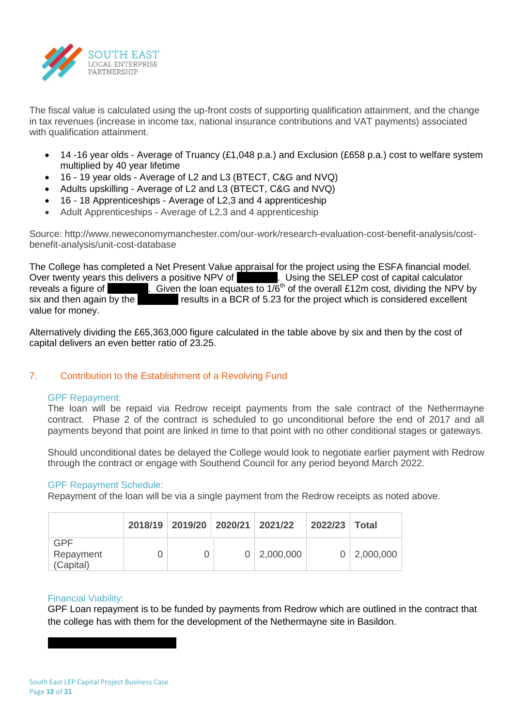

The fiscal value is calculated using the up-front costs of supporting qualification attainment, and the change in tax revenues (increase in income tax, national insurance contributions and VAT payments) associated with qualification attainment.

- 14 -16 year olds Average of Truancy (£1,048 p.a.) and Exclusion (£658 p.a.) cost to welfare system multiplied by 40 year lifetime
- 16 19 year olds Average of L2 and L3 (BTECT, C&G and NVQ)
- Adults upskilling Average of L2 and L3 (BTECT, C&G and NVQ)
- 16 18 Apprenticeships Average of L2,3 and 4 apprenticeship
- Adult Apprenticeships Average of L2,3 and 4 apprenticeship

Source: http://www.neweconomymanchester.com/our-work/research-evaluation-cost-benefit-analysis/costbenefit-analysis/unit-cost-database

The College has completed a Net Present Value appraisal for the project using the ESFA financial model. Over twenty years this delivers a positive NPV of Redaction Using the SELEP cost of capital calculator reveals a figure of  $\blacksquare$ . Given the loan equates to 1/6<sup>th</sup> of the overall £12m cost, dividing the NPV by six and then again by the results in a BCR of 5.23 for the project which is considered excellent value for money.

Alternatively dividing the £65,363,000 figure calculated in the table above by six and then by the cost of capital delivers an even better ratio of 23.25.

# 7. Contribution to the Establishment of a Revolving Fund

#### GPF Repayment:

The loan will be repaid via Redrow receipt payments from the sale contract of the Nethermayne contract. Phase 2 of the contract is scheduled to go unconditional before the end of 2017 and all payments beyond that point are linked in time to that point with no other conditional stages or gateways.

Should unconditional dates be delayed the College would look to negotiate earlier payment with Redrow through the contract or engage with Southend Council for any period beyond March 2022.

# GPF Repayment Schedule:

Repayment of the loan will be via a single payment from the Redrow receipts as noted above.

|                                      | 2018/19   2019/20   2020/21   2021/22 |               | 2022/23 | ∣ Total       |
|--------------------------------------|---------------------------------------|---------------|---------|---------------|
| <b>GPF</b><br>Repayment<br>(Capital) |                                       | 0   2,000,000 |         | 0   2,000,000 |

# Financial Viability:

GPF Loan repayment is to be funded by payments from Redrow which are outlined in the contract that the college has with them for the development of the Nethermayne site in Basildon.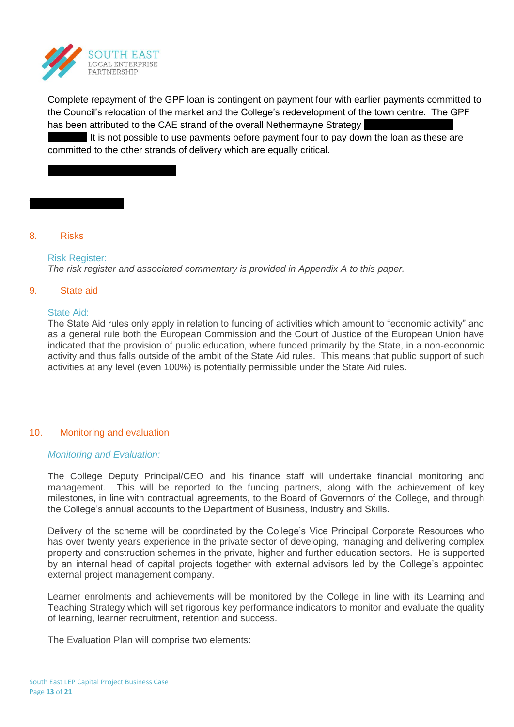

Complete repayment of the GPF loan is contingent on payment four with earlier payments committed to the Council's relocation of the market and the College's redevelopment of the town centre. The GPF has been attributed to the CAE strand of the overall Nethermayne Strategy

It is not possible to use payments before payment four to pay down the loan as these are committed to the other strands of delivery which are equally critical.

### 8. Risks

#### Risk Register:

*The risk register and associated commentary is provided in Appendix A to this paper.*

### 9. State aid

### State Aid:

The State Aid rules only apply in relation to funding of activities which amount to "economic activity" and as a general rule both the European Commission and the Court of Justice of the European Union have indicated that the provision of public education, where funded primarily by the State, in a non-economic activity and thus falls outside of the ambit of the State Aid rules. This means that public support of such activities at any level (even 100%) is potentially permissible under the State Aid rules.

#### 10. Monitoring and evaluation

#### *Monitoring and Evaluation:*

The College Deputy Principal/CEO and his finance staff will undertake financial monitoring and management. This will be reported to the funding partners, along with the achievement of key milestones, in line with contractual agreements, to the Board of Governors of the College, and through the College's annual accounts to the Department of Business, Industry and Skills.

Delivery of the scheme will be coordinated by the College's Vice Principal Corporate Resources who has over twenty years experience in the private sector of developing, managing and delivering complex property and construction schemes in the private, higher and further education sectors. He is supported by an internal head of capital projects together with external advisors led by the College's appointed external project management company.

Learner enrolments and achievements will be monitored by the College in line with its Learning and Teaching Strategy which will set rigorous key performance indicators to monitor and evaluate the quality of learning, learner recruitment, retention and success.

The Evaluation Plan will comprise two elements: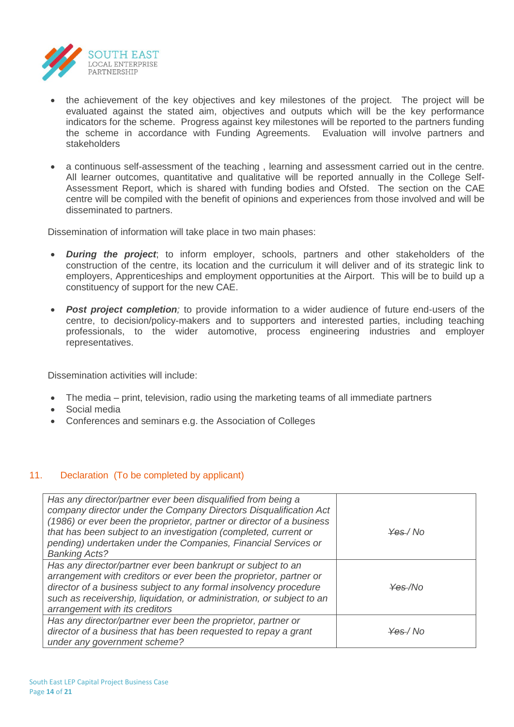

- the achievement of the key objectives and key milestones of the project. The project will be evaluated against the stated aim, objectives and outputs which will be the key performance indicators for the scheme. Progress against key milestones will be reported to the partners funding the scheme in accordance with Funding Agreements. Evaluation will involve partners and stakeholders
- a continuous self-assessment of the teaching , learning and assessment carried out in the centre. All learner outcomes, quantitative and qualitative will be reported annually in the College Self-Assessment Report, which is shared with funding bodies and Ofsted. The section on the CAE centre will be compiled with the benefit of opinions and experiences from those involved and will be disseminated to partners.

Dissemination of information will take place in two main phases:

- **During the project**; to inform employer, schools, partners and other stakeholders of the construction of the centre, its location and the curriculum it will deliver and of its strategic link to employers, Apprenticeships and employment opportunities at the Airport. This will be to build up a constituency of support for the new CAE.
- *Post project completion;* to provide information to a wider audience of future end-users of the centre, to decision/policy-makers and to supporters and interested parties, including teaching professionals, to the wider automotive, process engineering industries and employer representatives.

Dissemination activities will include:

- The media print, television, radio using the marketing teams of all immediate partners
- Social media
- Conferences and seminars e.g. the Association of Colleges

#### 11. Declaration (To be completed by applicant)

| Has any director/partner ever been disqualified from being a<br>company director under the Company Directors Disqualification Act<br>(1986) or ever been the proprietor, partner or director of a business<br>that has been subject to an investigation (completed, current or<br>pending) undertaken under the Companies, Financial Services or<br><b>Banking Acts?</b> | $\frac{y}{\cos}$ No  |
|--------------------------------------------------------------------------------------------------------------------------------------------------------------------------------------------------------------------------------------------------------------------------------------------------------------------------------------------------------------------------|----------------------|
| Has any director/partner ever been bankrupt or subject to an<br>arrangement with creditors or ever been the proprietor, partner or<br>director of a business subject to any formal insolvency procedure<br>such as receivership, liquidation, or administration, or subject to an<br>arrangement with its creditors                                                      | $\frac{y}{\cos}$ /No |
| Has any director/partner ever been the proprietor, partner or<br>director of a business that has been requested to repay a grant<br>under any government scheme?                                                                                                                                                                                                         | <del>Yes</del> /No   |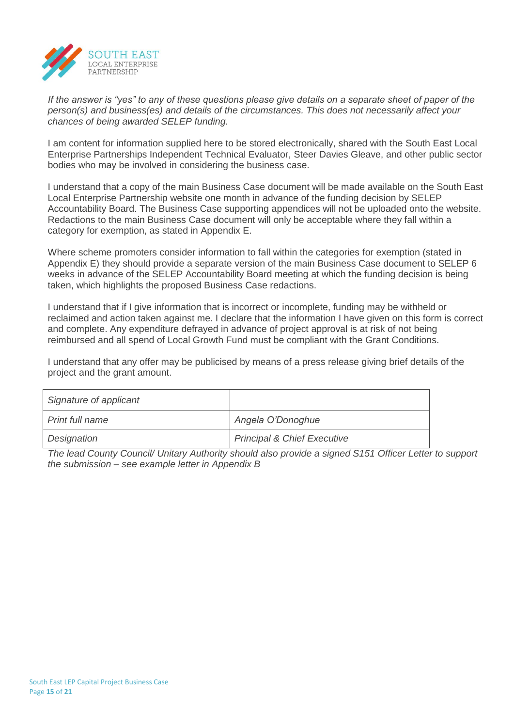

*If the answer is "yes" to any of these questions please give details on a separate sheet of paper of the person(s) and business(es) and details of the circumstances. This does not necessarily affect your chances of being awarded SELEP funding.*

I am content for information supplied here to be stored electronically, shared with the South East Local Enterprise Partnerships Independent Technical Evaluator, Steer Davies Gleave, and other public sector bodies who may be involved in considering the business case.

I understand that a copy of the main Business Case document will be made available on the South East Local Enterprise Partnership website one month in advance of the funding decision by SELEP Accountability Board. The Business Case supporting appendices will not be uploaded onto the website. Redactions to the main Business Case document will only be acceptable where they fall within a category for exemption, as stated in Appendix E.

Where scheme promoters consider information to fall within the categories for exemption (stated in Appendix E) they should provide a separate version of the main Business Case document to SELEP 6 weeks in advance of the SELEP Accountability Board meeting at which the funding decision is being taken, which highlights the proposed Business Case redactions.

I understand that if I give information that is incorrect or incomplete, funding may be withheld or reclaimed and action taken against me. I declare that the information I have given on this form is correct and complete. Any expenditure defrayed in advance of project approval is at risk of not being reimbursed and all spend of Local Growth Fund must be compliant with the Grant Conditions.

I understand that any offer may be publicised by means of a press release giving brief details of the project and the grant amount.

| Signature of applicant |                                        |
|------------------------|----------------------------------------|
| <b>Print full name</b> | Angela O'Donoghue                      |
| Designation            | <b>Principal &amp; Chief Executive</b> |

*The lead County Council/ Unitary Authority should also provide a signed S151 Officer Letter to support the submission – see example letter in Appendix B*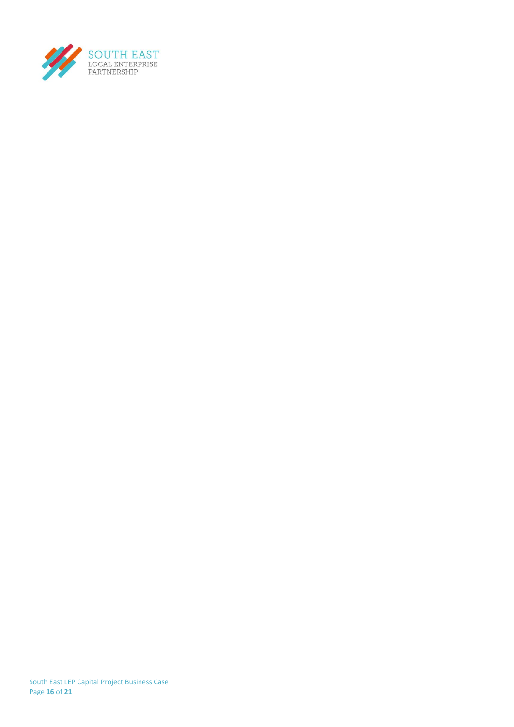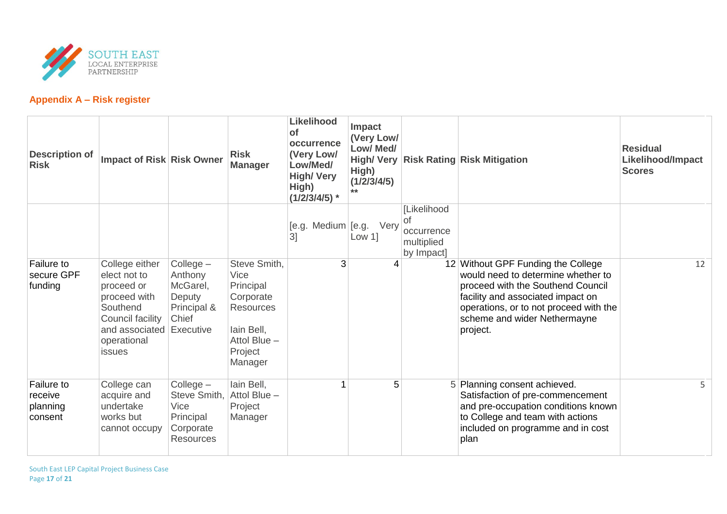

# **Appendix A – Risk register**

| <b>Description of</b><br><b>Risk</b>         | <b>Impact of Risk Risk Owner</b>                                                                                                                         |                                                                                 | <b>Risk</b><br><b>Manager</b>                                                                                          | Likelihood<br>of<br>occurrence<br>(Very Low/<br>Low/Med/<br><b>High/ Very</b><br>High)<br>$(1/2/3/4/5)$ * | Impact<br>(Very Low/<br>Low/ Med/<br>High)<br>(1/2/3/4/5) |                                                             | High/ Very Risk Rating Risk Mitigation                                                                                                                                                                                                   | <b>Residual</b><br>Likelihood/Impact<br><b>Scores</b> |
|----------------------------------------------|----------------------------------------------------------------------------------------------------------------------------------------------------------|---------------------------------------------------------------------------------|------------------------------------------------------------------------------------------------------------------------|-----------------------------------------------------------------------------------------------------------|-----------------------------------------------------------|-------------------------------------------------------------|------------------------------------------------------------------------------------------------------------------------------------------------------------------------------------------------------------------------------------------|-------------------------------------------------------|
|                                              |                                                                                                                                                          |                                                                                 |                                                                                                                        | [e.g. Medium [e.g.<br>3 <sup>1</sup>                                                                      | Very<br>Low $1$ ]                                         | [Likelihood<br>0f<br>occurrence<br>multiplied<br>by Impact] |                                                                                                                                                                                                                                          |                                                       |
| Failure to<br>secure GPF<br>funding          | College either<br>elect not to<br>proceed or<br>proceed with<br>Southend<br>Council facility<br>and associated Executive<br>operational<br><b>issues</b> | $Collect -$<br>Anthony<br>McGarel,<br>Deputy<br>Principal &<br>Chief            | Steve Smith,<br>Vice<br>Principal<br>Corporate<br><b>Resources</b><br>lain Bell.<br>Attol Blue -<br>Project<br>Manager | 3                                                                                                         | 4                                                         |                                                             | 12 Without GPF Funding the College<br>would need to determine whether to<br>proceed with the Southend Council<br>facility and associated impact on<br>operations, or to not proceed with the<br>scheme and wider Nethermayne<br>project. | 12                                                    |
| Failure to<br>receive<br>planning<br>consent | College can<br>acquire and<br>undertake<br>works but<br>cannot occupy                                                                                    | College -<br>Steve Smith,<br>Vice<br>Principal<br>Corporate<br><b>Resources</b> | lain Bell,<br>Attol Blue -<br>Project<br>Manager                                                                       |                                                                                                           | 5                                                         |                                                             | 5 Planning consent achieved.<br>Satisfaction of pre-commencement<br>and pre-occupation conditions known<br>to College and team with actions<br>included on programme and in cost<br>plan                                                 | 5                                                     |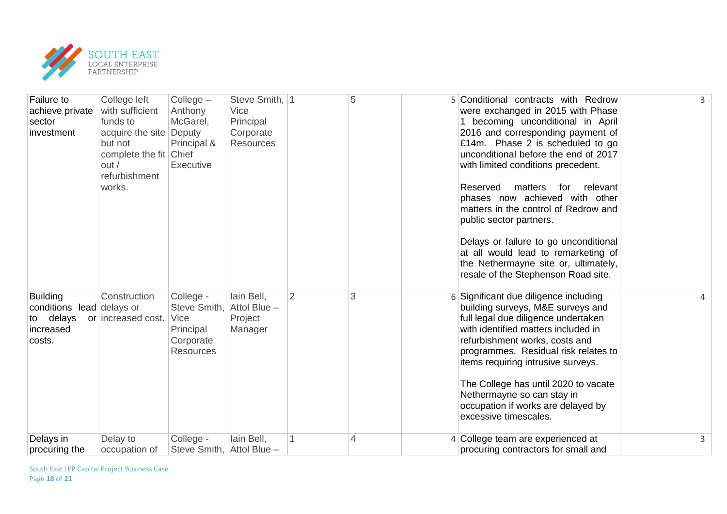

| Failure to<br>achieve private<br>sector<br>investment                            | College left<br>with sufficient<br>funds to<br>acquire the site Deputy<br>but not<br>complete the fit Chief<br>out /<br>refurbishment<br>works. | College -<br>Anthony<br>McGarel,<br>Principal &<br><b>Executive</b>                    | Steve Smith, 1<br>Vice<br>Principal<br>Corporate<br><b>Resources</b> |                | 5 | 5 Conditional contracts with Redrow<br>were exchanged in 2015 with Phase<br>becoming unconditional in April<br>2016 and corresponding payment of<br>£14m. Phase 2 is scheduled to go<br>unconditional before the end of 2017<br>with limited conditions precedent.<br>Reserved<br>relevant<br>matters<br>for<br>phases now achieved with other<br>matters in the control of Redrow and<br>public sector partners.<br>Delays or failure to go unconditional<br>at all would lead to remarketing of<br>the Nethermayne site or, ultimately,<br>resale of the Stephenson Road site. | 3 |
|----------------------------------------------------------------------------------|-------------------------------------------------------------------------------------------------------------------------------------------------|----------------------------------------------------------------------------------------|----------------------------------------------------------------------|----------------|---|----------------------------------------------------------------------------------------------------------------------------------------------------------------------------------------------------------------------------------------------------------------------------------------------------------------------------------------------------------------------------------------------------------------------------------------------------------------------------------------------------------------------------------------------------------------------------------|---|
| <b>Building</b><br>conditions lead delays or<br>to delays<br>increased<br>costs. | Construction<br>or increased cost.                                                                                                              | College -<br>Steve Smith,<br><b>Vice</b><br>Principal<br>Corporate<br><b>Resources</b> | lain Bell,<br>Attol Blue -<br>Project<br>Manager                     | $\overline{2}$ | 3 | 6 Significant due diligence including<br>building surveys, M&E surveys and<br>full legal due diligence undertaken<br>with identified matters included in<br>refurbishment works, costs and<br>programmes. Residual risk relates to<br>items requiring intrusive surveys.<br>The College has until 2020 to vacate<br>Nethermayne so can stay in<br>occupation if works are delayed by<br>excessive timescales.                                                                                                                                                                    | 4 |
| Delays in<br>procuring the                                                       | Delay to<br>occupation of                                                                                                                       | College -<br>Steve Smith, Attol Blue -                                                 | lain Bell,                                                           |                | 4 | 4 College team are experienced at<br>procuring contractors for small and                                                                                                                                                                                                                                                                                                                                                                                                                                                                                                         | 3 |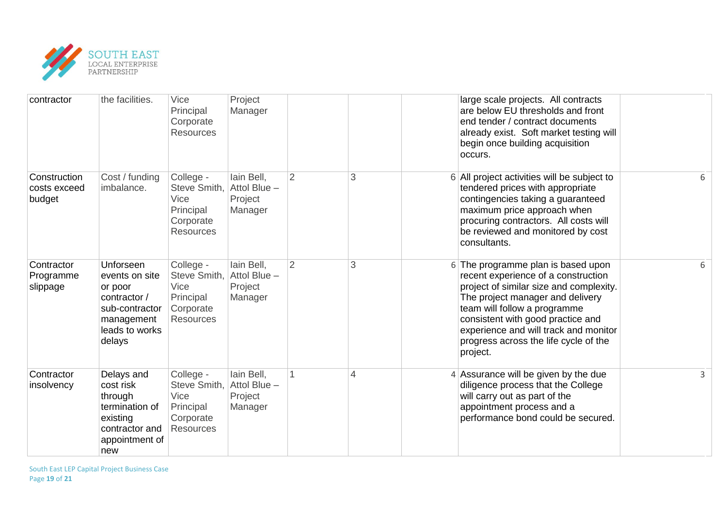

| contractor                             | the facilities.                                                                                                    | Vice<br>Principal<br>Corporate<br><b>Resources</b>                              | Project<br>Manager                               |                |                | large scale projects. All contracts<br>are below EU thresholds and front<br>end tender / contract documents<br>already exist. Soft market testing will<br>begin once building acquisition<br>occurs.                                                                                                                        |   |
|----------------------------------------|--------------------------------------------------------------------------------------------------------------------|---------------------------------------------------------------------------------|--------------------------------------------------|----------------|----------------|-----------------------------------------------------------------------------------------------------------------------------------------------------------------------------------------------------------------------------------------------------------------------------------------------------------------------------|---|
| Construction<br>costs exceed<br>budget | Cost / funding<br>imbalance.                                                                                       | College -<br>Steve Smith,<br>Vice<br>Principal<br>Corporate<br><b>Resources</b> | lain Bell,<br>Attol Blue -<br>Project<br>Manager | 2              | 3              | 6 All project activities will be subject to<br>tendered prices with appropriate<br>contingencies taking a guaranteed<br>maximum price approach when<br>procuring contractors. All costs will<br>be reviewed and monitored by cost<br>consultants.                                                                           | 6 |
| Contractor<br>Programme<br>slippage    | Unforseen<br>events on site<br>or poor<br>contractor /<br>sub-contractor<br>management<br>leads to works<br>delays | College -<br>Steve Smith,<br>Vice<br>Principal<br>Corporate<br><b>Resources</b> | lain Bell,<br>Attol Blue -<br>Project<br>Manager | $\overline{2}$ | 3              | 6 The programme plan is based upon<br>recent experience of a construction<br>project of similar size and complexity.<br>The project manager and delivery<br>team will follow a programme<br>consistent with good practice and<br>experience and will track and monitor<br>progress across the life cycle of the<br>project. | 6 |
| Contractor<br>insolvency               | Delays and<br>cost risk<br>through<br>termination of<br>existing<br>contractor and<br>appointment of<br>new        | College -<br>Steve Smith,<br>Vice<br>Principal<br>Corporate<br>Resources        | Iain Bell,<br>Attol Blue -<br>Project<br>Manager | $\overline{1}$ | $\overline{4}$ | 4 Assurance will be given by the due<br>diligence process that the College<br>will carry out as part of the<br>appointment process and a<br>performance bond could be secured.                                                                                                                                              | 3 |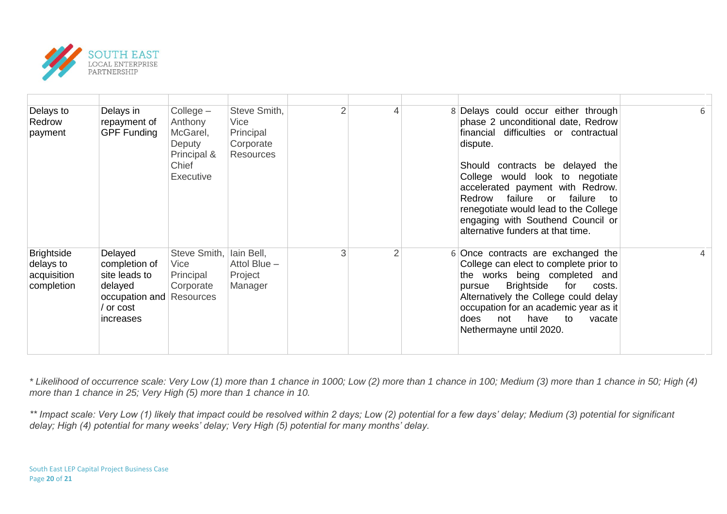

| Delays to<br>Redrow<br>payment                              | Delays in<br>repayment of<br><b>GPF Funding</b>                                                            | $Collect -$<br>Anthony<br>McGarel,<br>Deputy<br>Principal &<br>Chief<br><b>Executive</b> | $\overline{2}$<br>Steve Smith,<br>Vice<br>Principal<br>Corporate<br><b>Resources</b> | 4              | 8 Delays could occur either through<br>phase 2 unconditional date, Redrow<br>financial difficulties or contractual<br>dispute.<br>Should contracts be delayed the<br>College would look to negotiate<br>accelerated payment with Redrow.<br>failure<br>failure<br>Redrow<br>or<br>to<br>renegotiate would lead to the College<br>engaging with Southend Council or<br>alternative funders at that time. | 6 |
|-------------------------------------------------------------|------------------------------------------------------------------------------------------------------------|------------------------------------------------------------------------------------------|--------------------------------------------------------------------------------------|----------------|---------------------------------------------------------------------------------------------------------------------------------------------------------------------------------------------------------------------------------------------------------------------------------------------------------------------------------------------------------------------------------------------------------|---|
| <b>Brightside</b><br>delays to<br>acquisition<br>completion | Delayed<br>completion of<br>site leads to<br>delayed<br>occupation and Resources<br>/ or cost<br>increases | Steve Smith,<br>Vice<br>Principal<br>Corporate                                           | 3<br>lain Bell,<br>Attol Blue -<br>Project<br>Manager                                | $\overline{2}$ | 6 Once contracts are exchanged the<br>College can elect to complete prior to<br>the works being completed and<br><b>Brightside</b><br>for<br>pursue<br>costs.<br>Alternatively the College could delay<br>occupation for an academic year as it<br>does<br>to<br>not<br>have<br>vacate<br>Nethermayne until 2020.                                                                                       | 4 |

*\* Likelihood of occurrence scale: Very Low (1) more than 1 chance in 1000; Low (2) more than 1 chance in 100; Medium (3) more than 1 chance in 50; High (4) more than 1 chance in 25; Very High (5) more than 1 chance in 10.*

*\*\* Impact scale: Very Low (1) likely that impact could be resolved within 2 days; Low (2) potential for a few days' delay; Medium (3) potential for significant delay; High (4) potential for many weeks' delay; Very High (5) potential for many months' delay.*